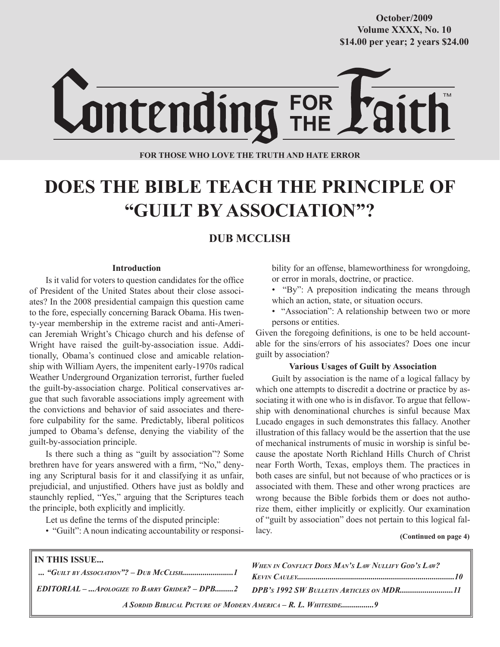**Volume XXXX, No. 10 Volume XXXVIII, No. 10 \$14.00 per year; 2 years \$24.00 \$14.00 per year; 2 years \$24.00 October/2009**



**FOR THOSE WHO LOVE THE TRUTH AND HATE ERROR**

# **DOES THE BIBLE TEACH THE PRINCIPLE OF "GUILT BY ASSOCIATION"?**

## **DUB MCCLISH**

#### **Introduction**

Is it valid for voters to question candidates for the office of President of the United States about their close associates? In the 2008 presidential campaign this question came to the fore, especially concerning Barack Obama. His twenty-year membership in the extreme racist and anti-American Jeremiah Wright's Chicago church and his defense of Wright have raised the guilt-by-association issue. Additionally, Obama's continued close and amicable relationship with William Ayers, the impenitent early-1970s radical Weather Underground Organization terrorist, further fueled the guilt-by-association charge. Political conservatives argue that such favorable associations imply agreement with the convictions and behavior of said associates and therefore culpability for the same. Predictably, liberal politicos jumped to Obama's defense, denying the viability of the guilt-by-association principle.

Is there such a thing as "guilt by association"? Some brethren have for years answered with a firm, "No," denying any Scriptural basis for it and classifying it as unfair, prejudicial, and unjustified. Others have just as boldly and staunchly replied, "Yes," arguing that the Scriptures teach the principle, both explicitly and implicitly.

Let us define the terms of the disputed principle:

• "Guilt": A noun indicating accountability or responsi-

bility for an offense, blameworthiness for wrongdoing, or error in morals, doctrine, or practice.

- "By": A preposition indicating the means through which an action, state, or situation occurs.
- "Association": A relationship between two or more persons or entities.

Given the foregoing definitions, is one to be held accountable for the sins/errors of his associates? Does one incur guilt by association?

#### **Various Usages of Guilt by Association**

Guilt by association is the name of a logical fallacy by which one attempts to discredit a doctrine or practice by associating it with one who is in disfavor. To argue that fellowship with denominational churches is sinful because Max Lucado engages in such demonstrates this fallacy. Another illustration of this fallacy would be the assertion that the use of mechanical instruments of music in worship is sinful because the apostate North Richland Hills Church of Christ near Forth Worth, Texas, employs them. The practices in both cases are sinful, but not because of who practices or is associated with them. These and other wrong practices are wrong because the Bible forbids them or does not authorize them, either implicitly or explicitly. Our examination of "guilt by association" does not pertain to this logical fallacy.

#### **(Continued on page 4)**

| IN THIS ISSUE                                                  | <b>WHEN IN CONFLICT DOES MAN'S LAW NULLIFY GOD'S LAW?</b><br><b>KEVIN CAULEY</b>       |
|----------------------------------------------------------------|----------------------------------------------------------------------------------------|
|                                                                | EDITORIAL - Apologize to Barry Grider? - DPB2 DPB's 1992 SW Bulletin Articles on MDR11 |
| A SORDID BIBLICAL PICTURE OF MODERN AMERICA – R. L. WHITESIDE9 |                                                                                        |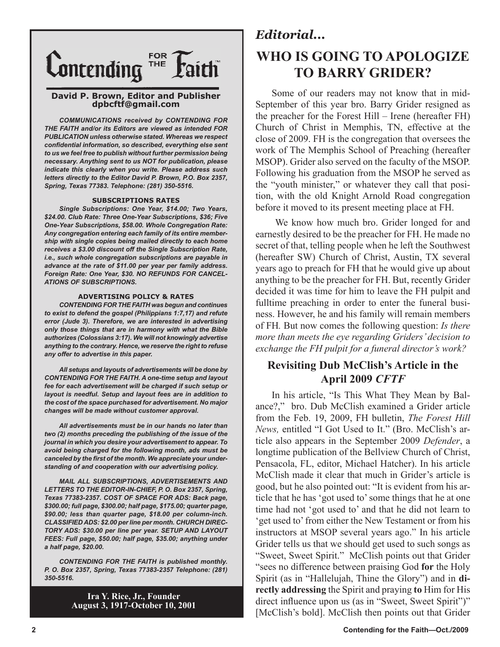

#### **David P. Brown, Editor and Publisher dpbcftf@gmail.com**

*COMMUNICATIONS received by CONTENDING FOR THE FAITH and/or its Editors are viewed as intended FOR PUBLICATION unless otherwise stated. Whereas we respect confidential information, so described, everything else sent to us we feel free to publish without further permission being necessary. Anything sent to us NOT for publication, please indicate this clearly when you write. Please address such letters directly to the Editor David P. Brown, P.O. Box 2357, Spring, Texas 77383. Telephone: (281) 350-5516.*

#### **SUBSCRIPTIONS RATES**

*Single Subscriptions: One Year, \$14.00; Two Years, \$24.00. Club Rate: Three One-Year Subscriptions, \$36; Five One-Year Subscriptions, \$58.00. Whole Congregation Rate: Any congregation entering each family of its entire membership with single copies being mailed directly to each home receives a \$3.00 discount off the Single Subscription Rate, i.e., such whole congregation subscriptions are payable in advance at the rate of \$11.00 per year per family address. Foreign Rate: One Year, \$30. NO REFUNDS FOR CANCEL-ATIONS OF SUBSCRIPTIONS.*

#### **ADVERTISING POLICY & RATES**

*CONTENDING FOR THE FAITH was begun and continues to exist to defend the gospel (Philippians 1:7,17) and refute error (Jude 3). Therefore, we are interested in advertising only those things that are in harmony with what the Bible authorizes (Colossians 3:17). We will not knowingly advertise anything to the contrary. Hence, we reserve the right to refuse any offer to advertise in this paper.*

*All setups and layouts of advertisements will be done by CONTENDING FOR THE FAITH. A one-time setup and layout fee for each advertisement will be charged if such setup or layout is needful. Setup and layout fees are in addition to the cost of the space purchased for advertisement. No major changes will be made without customer approval.*

*All advertisements must be in our hands no later than two (2) months preceding the publishing of the issue of the journal in which you desire your advertisement to appear. To avoid being charged for the following month, ads must be canceled by the first of the month. We appreciate your understanding of and cooperation with our advertising policy.*

*MAIL ALL SUBSCRIPTIONS, ADVERTISEMENTS AND LETTERS TO THE EDITOR-IN-CHIEF, P. O. Box 2357, Spring, Texas 77383-2357. COST OF SPACE FOR ADS: Back page, \$300.00; full page, \$300.00; half page, \$175.00; quarter page, \$90.00; less than quarter page, \$18.00 per column-inch. CLASSIFIED ADS: \$2.00 per line per month. CHURCH DIREC-TORY ADS: \$30.00 per line per year. SETUP AND LAYOUT FEES: Full page, \$50.00; half page, \$35.00; anything under a half page, \$20.00.*

*CONTENDING FOR THE FAITH is published monthly. P. O. Box 2357, Spring, Texas 77383-2357 Telephone: (281) 350-5516.*

> **Ira Y. Rice, Jr., Founder August 3, 1917-October 10, 2001**

# *Editorial...* **WHO IS GOING TO APOLOGIZE TO BARRY GRIDER?**

Some of our readers may not know that in mid-September of this year bro. Barry Grider resigned as the preacher for the Forest Hill – Irene (hereafter FH) Church of Christ in Memphis, TN, effective at the close of 2009. FH is the congregation that oversees the work of The Memphis School of Preaching (hereafter MSOP). Grider also served on the faculty of the MSOP. Following his graduation from the MSOP he served as the "youth minister," or whatever they call that position, with the old Knight Arnold Road congregation before it moved to its present meeting place at FH.

 We know how much bro. Grider longed for and earnestly desired to be the preacher for FH. He made no secret of that, telling people when he left the Southwest (hereafter SW) Church of Christ, Austin, TX several years ago to preach for FH that he would give up about anything to be the preacher for FH. But, recently Grider decided it was time for him to leave the FH pulpit and fulltime preaching in order to enter the funeral business. However, he and his family will remain members of FH*.* But now comes the following question: *Is there more than meets the eye regarding Griders' decision to exchange the FH pulpit for a funeral director's work?*

## **Revisiting Dub McClish's Article in the April 2009** *CFTF*

In his article, "Is This What They Mean by Balance?," bro. Dub McClish examined a Grider article from the Feb. 19, 2009, FH bulletin, *The Forest Hill News,* entitled "I Got Used to It." (Bro. McClish's article also appears in the September 2009 *Defender*, a longtime publication of the Bellview Church of Christ, Pensacola, FL, editor, Michael Hatcher). In his article McClish made it clear that much in Grider's article is good, but he also pointed out: "It is evident from his article that he has 'got used to' some things that he at one time had not 'got used to' and that he did not learn to 'get used to' from either the New Testament or from his instructors at MSOP several years ago." In his article Grider tells us that we should get used to such songs as "Sweet, Sweet Spirit." McClish points out that Grider "sees no difference between praising God **for** the Holy Spirit (as in "Hallelujah, Thine the Glory") and in **directly addressing** the Spirit and praying **to** Him for His direct influence upon us (as in "Sweet, Sweet Spirit")" [McClish's bold]. McClish then points out that Grider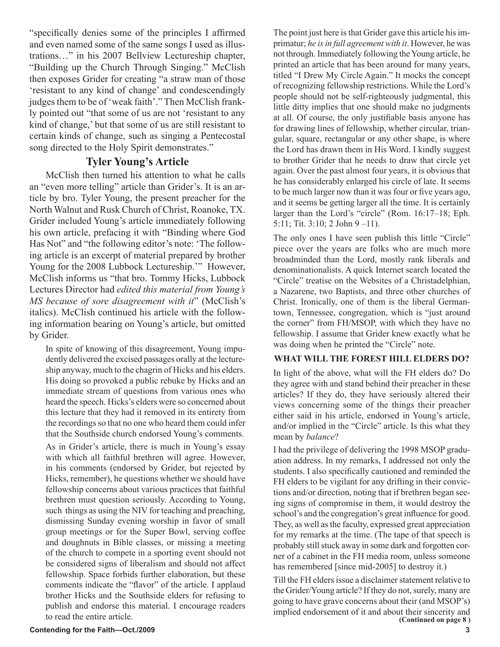"specifically denies some of the principles I affirmed and even named some of the same songs I used as illustrations…" in his 2007 Bellview Lectureship chapter, "Building up the Church Through Singing." McClish then exposes Grider for creating "a straw man of those 'resistant to any kind of change' and condescendingly judges them to be of 'weak faith'." Then McClish frankly pointed out "that some of us are not 'resistant to any kind of change,' but that some of us are still resistant to certain kinds of change, such as singing a Pentecostal song directed to the Holy Spirit demonstrates."

## **Tyler Young's Article**

McClish then turned his attention to what he calls an "even more telling" article than Grider's. It is an article by bro. Tyler Young, the present preacher for the North Walnut and Rusk Church of Christ, Roanoke, TX. Grider included Young's article immediately following his own article, prefacing it with "Binding where God Has Not" and "the following editor's note: 'The following article is an excerpt of material prepared by brother Young for the 2008 Lubbock Lectureship.'" However, McClish informs us "that bro. Tommy Hicks, Lubbock Lectures Director had *edited this material from Young's MS because of sore disagreement with it*" (McClish's italics). McClish continued his article with the following information bearing on Young's article, but omitted by Grider.

In spite of knowing of this disagreement, Young impudently delivered the excised passages orally at the lectureship anyway, much to the chagrin of Hicks and his elders. His doing so provoked a public rebuke by Hicks and an immediate stream of questions from various ones who heard the speech. Hicks's elders were so concerned about this lecture that they had it removed in its entirety from the recordings so that no one who heard them could infer that the Southside church endorsed Young's comments.

As in Grider's article, there is much in Young's essay with which all faithful brethren will agree. However, in his comments (endorsed by Grider, but rejected by Hicks, remember), he questions whether we should have fellowship concerns about various practices that faithful brethren must question seriously. According to Young, such things as using the NIV for teaching and preaching, dismissing Sunday evening worship in favor of small group meetings or for the Super Bowl, serving coffee and doughnuts in Bible classes, or missing a meeting of the church to compete in a sporting event should not be considered signs of liberalism and should not affect fellowship. Space forbids further elaboration, but these comments indicate the "flavor" of the article. I applaud brother Hicks and the Southside elders for refusing to publish and endorse this material. I encourage readers to read the entire article.

The point just here is that Grider gave this article his imprimatur; *he is in full agreement with it*. However, he was not through. Immediately following the Young article, he printed an article that has been around for many years, titled "I Drew My Circle Again." It mocks the concept of recognizing fellowship restrictions. While the Lord's people should not be self-righteously judgmental, this little ditty implies that one should make no judgments at all. Of course, the only justifiable basis anyone has for drawing lines of fellowship, whether circular, triangular, square, rectangular or any other shape, is where the Lord has drawn them in His Word. I kindly suggest to brother Grider that he needs to draw that circle yet again. Over the past almost four years, it is obvious that he has considerably enlarged his circle of late. It seems to be much larger now than it was four or five years ago, and it seems be getting larger all the time. It is certainly larger than the Lord's "circle" (Rom. 16:17–18; Eph. 5:11; Tit. 3:10; 2 John 9 –11).

The only ones I have seen publish this little "Circle" piece over the years are folks who are much more broadminded than the Lord, mostly rank liberals and denominationalists. A quick Internet search located the "Circle" treatise on the Websites of a Christadelphian, a Nazarene, two Baptists, and three other churches of Christ. Ironically, one of them is the liberal Germantown, Tennessee, congregation, which is "just around the corner" from FH/MSOP, with which they have no fellowship. I assume that Grider knew exactly what he was doing when he printed the "Circle" note.

## **WHAT WILL THE FOREST HILL ELDERS DO?**

In light of the above, what will the FH elders do? Do they agree with and stand behind their preacher in these articles? If they do, they have seriously altered their views concerning some of the things their preacher either said in his article, endorsed in Young's article, and/or implied in the "Circle" article. Is this what they mean by *balance*?

I had the privilege of delivering the 1998 MSOP graduation address. In my remarks, I addressed not only the students. I also specifically cautioned and reminded the FH elders to be vigilant for any drifting in their convictions and/or direction, noting that if brethren began seeing signs of compromise in them, it would destroy the school's and the congregation's great influence for good. They, as well as the faculty, expressed great appreciation for my remarks at the time. (The tape of that speech is probably still stuck away in some dark and forgotten corner of a cabinet in the FH media room, unless someone has remembered [since mid-2005] to destroy it.)

Till the FH elders issue a disclaimer statement relative to the Grider/Young article? If they do not, surely, many are going to have grave concerns about their (and MSOP's) implied endorsement of it and about their sincerity and **(Continued on page 8 )**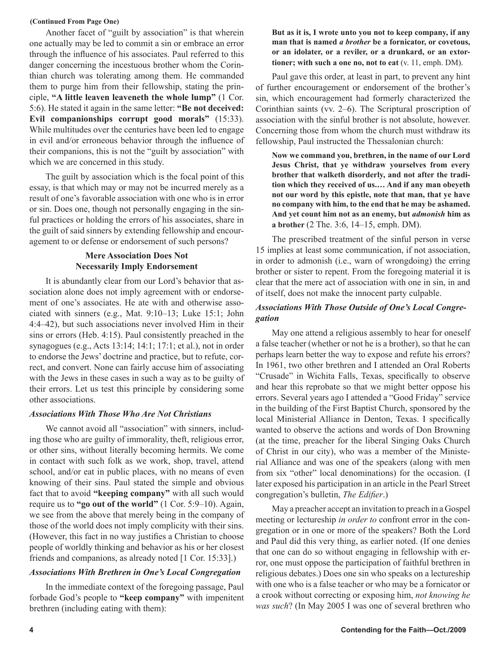#### **(Continued From Page One)**

Another facet of "guilt by association" is that wherein one actually may be led to commit a sin or embrace an error through the influence of his associates. Paul referred to this danger concerning the incestuous brother whom the Corinthian church was tolerating among them. He commanded them to purge him from their fellowship, stating the principle, **"A little leaven leaveneth the whole lump"** (1 Cor. 5:6). He stated it again in the same letter: **"Be not deceived: Evil companionships corrupt good morals"** (15:33). While multitudes over the centuries have been led to engage in evil and/or erroneous behavior through the influence of their companions, this is not the "guilt by association" with which we are concerned in this study.

The guilt by association which is the focal point of this essay, is that which may or may not be incurred merely as a result of one's favorable association with one who is in error or sin. Does one, though not personally engaging in the sinful practices or holding the errors of his associates, share in the guilt of said sinners by extending fellowship and encouragement to or defense or endorsement of such persons?

## **Mere Association Does Not Necessarily Imply Endorsement**

It is abundantly clear from our Lord's behavior that association alone does not imply agreement with or endorsement of one's associates. He ate with and otherwise associated with sinners (e.g., Mat. 9:10–13; Luke 15:1; John 4:4–42), but such associations never involved Him in their sins or errors (Heb. 4:15). Paul consistently preached in the synagogues (e.g., Acts 13:14; 14:1; 17:1; et al.), not in order to endorse the Jews' doctrine and practice, but to refute, correct, and convert. None can fairly accuse him of associating with the Jews in these cases in such a way as to be guilty of their errors. Let us test this principle by considering some other associations.

#### *Associations With Those Who Are Not Christians*

We cannot avoid all "association" with sinners, including those who are guilty of immorality, theft, religious error, or other sins, without literally becoming hermits. We come in contact with such folk as we work, shop, travel, attend school, and/or eat in public places, with no means of even knowing of their sins. Paul stated the simple and obvious fact that to avoid **"keeping company"** with all such would require us to **"go out of the world"** (1 Cor. 5:9–10). Again, we see from the above that merely being in the company of those of the world does not imply complicity with their sins. (However, this fact in no way justifies a Christian to choose people of worldly thinking and behavior as his or her closest friends and companions, as already noted [1 Cor. 15:33].)

#### *Associations With Brethren in One's Local Congregation*

In the immediate context of the foregoing passage, Paul forbade God's people to **"keep company"** with impenitent brethren (including eating with them):

#### **But as it is, I wrote unto you not to keep company, if any man that is named** *a brother* **be a fornicator, or covetous, or an idolater, or a reviler, or a drunkard, or an extortioner; with such a one no, not to eat** (v. 11, emph. DM).

Paul gave this order, at least in part, to prevent any hint of further encouragement or endorsement of the brother's sin, which encouragement had formerly characterized the Corinthian saints (vv. 2–6). The Scriptural proscription of association with the sinful brother is not absolute, however. Concerning those from whom the church must withdraw its fellowship, Paul instructed the Thessalonian church:

**Now we command you, brethren, in the name of our Lord Jesus Christ, that ye withdraw yourselves from every brother that walketh disorderly, and not after the tradition which they received of us.… And if any man obeyeth not our word by this epistle, note that man, that ye have no company with him, to the end that he may be ashamed. And yet count him not as an enemy, but** *admonish* **him as a brother** (2 The. 3:6, 14–15, emph. DM).

The prescribed treatment of the sinful person in verse 15 implies at least some communication, if not association, in order to admonish (i.e., warn of wrongdoing) the erring brother or sister to repent. From the foregoing material it is clear that the mere act of association with one in sin, in and of itself, does not make the innocent party culpable.

### *Associations With Those Outside of One's Local Congregation*

May one attend a religious assembly to hear for oneself a false teacher (whether or not he is a brother), so that he can perhaps learn better the way to expose and refute his errors? In 1961, two other brethren and I attended an Oral Roberts "Crusade" in Wichita Falls, Texas, specifically to observe and hear this reprobate so that we might better oppose his errors. Several years ago I attended a "Good Friday" service in the building of the First Baptist Church, sponsored by the local Ministerial Alliance in Denton, Texas. I specifically wanted to observe the actions and words of Don Browning (at the time, preacher for the liberal Singing Oaks Church of Christ in our city), who was a member of the Ministerial Alliance and was one of the speakers (along with men from six "other" local denominations) for the occasion. (I later exposed his participation in an article in the Pearl Street congregation's bulletin, *The Edifier*.)

May a preacher accept an invitation to preach in a Gospel meeting or lectureship *in order to* confront error in the congregation or in one or more of the speakers? Both the Lord and Paul did this very thing, as earlier noted. (If one denies that one can do so without engaging in fellowship with error, one must oppose the participation of faithful brethren in religious debates.) Does one sin who speaks on a lectureship with one who is a false teacher or who may be a fornicator or a crook without correcting or exposing him, *not knowing he was such*? (In May 2005 I was one of several brethren who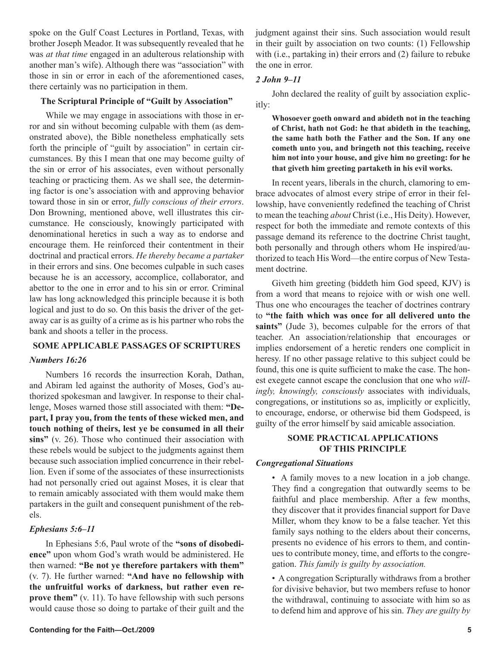spoke on the Gulf Coast Lectures in Portland, Texas, with brother Joseph Meador. It was subsequently revealed that he was *at that time* engaged in an adulterous relationship with another man's wife). Although there was "association" with those in sin or error in each of the aforementioned cases, there certainly was no participation in them.

#### **The Scriptural Principle of "Guilt by Association"**

While we may engage in associations with those in error and sin without becoming culpable with them (as demonstrated above), the Bible nonetheless emphatically sets forth the principle of "guilt by association" in certain circumstances. By this I mean that one may become guilty of the sin or error of his associates, even without personally teaching or practicing them. As we shall see, the determining factor is one's association with and approving behavior toward those in sin or error, *fully conscious of their errors*. Don Browning, mentioned above, well illustrates this circumstance. He consciously, knowingly participated with denominational heretics in such a way as to endorse and encourage them. He reinforced their contentment in their doctrinal and practical errors. *He thereby became a partaker* in their errors and sins. One becomes culpable in such cases because he is an accessory, accomplice, collaborator, and abettor to the one in error and to his sin or error. Criminal law has long acknowledged this principle because it is both logical and just to do so. On this basis the driver of the getaway car is as guilty of a crime as is his partner who robs the bank and shoots a teller in the process.

#### **SOME APPLICABLE PASSAGES OF SCRIPTURES**

#### *Numbers 16:26*

Numbers 16 records the insurrection Korah, Dathan, and Abiram led against the authority of Moses, God's authorized spokesman and lawgiver. In response to their challenge, Moses warned those still associated with them: **"Depart, I pray you, from the tents of these wicked men, and touch nothing of theirs, lest ye be consumed in all their sins"** (v. 26). Those who continued their association with these rebels would be subject to the judgments against them because such association implied concurrence in their rebellion. Even if some of the associates of these insurrectionists had not personally cried out against Moses, it is clear that to remain amicably associated with them would make them partakers in the guilt and consequent punishment of the rebels.

#### *Ephesians 5:6–11*

In Ephesians 5:6, Paul wrote of the **"sons of disobedience"** upon whom God's wrath would be administered. He then warned: **"Be not ye therefore partakers with them"** (v. 7). He further warned: **"And have no fellowship with the unfruitful works of darkness, but rather even reprove them"** (v. 11). To have fellowship with such persons would cause those so doing to partake of their guilt and the judgment against their sins. Such association would result in their guilt by association on two counts: (1) Fellowship with (i.e., partaking in) their errors and (2) failure to rebuke the one in error.

#### *2 John 9–11*

John declared the reality of guilt by association explicitly:

**Whosoever goeth onward and abideth not in the teaching of Christ, hath not God: he that abideth in the teaching, the same hath both the Father and the Son. If any one cometh unto you, and bringeth not this teaching, receive him not into your house, and give him no greeting: for he that giveth him greeting partaketh in his evil works.**

In recent years, liberals in the church, clamoring to embrace advocates of almost every stripe of error in their fellowship, have conveniently redefined the teaching of Christ to mean the teaching *about* Christ (i.e., His Deity). However, respect for both the immediate and remote contexts of this passage demand its reference to the doctrine Christ taught, both personally and through others whom He inspired/authorized to teach His Word—the entire corpus of New Testament doctrine.

Giveth him greeting (biddeth him God speed, KJV) is from a word that means to rejoice with or wish one well. Thus one who encourages the teacher of doctrines contrary to **"the faith which was once for all delivered unto the saints"** (Jude 3), becomes culpable for the errors of that teacher. An association/relationship that encourages or implies endorsement of a heretic renders one complicit in heresy. If no other passage relative to this subject could be found, this one is quite sufficient to make the case. The honest exegete cannot escape the conclusion that one who *willingly, knowingly, consciously* associates with individuals, congregations, or institutions so as, implicitly or explicitly, to encourage, endorse, or otherwise bid them Godspeed, is guilty of the error himself by said amicable association.

#### **SOME PRACTICAL APPLICATIONS OF THIS PRINCIPLE**

#### *Congregational Situations*

• A family moves to a new location in a job change. They find a congregation that outwardly seems to be faithful and place membership. After a few months, they discover that it provides financial support for Dave Miller, whom they know to be a false teacher. Yet this family says nothing to the elders about their concerns, presents no evidence of his errors to them, and continues to contribute money, time, and efforts to the congregation. *This family is guilty by association.*

• A congregation Scripturally withdraws from a brother for divisive behavior, but two members refuse to honor the withdrawal, continuing to associate with him so as to defend him and approve of his sin. *They are guilty by*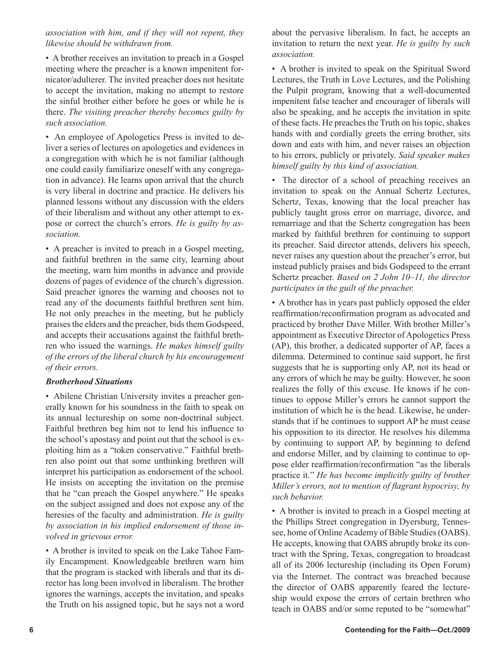*association with him, and if they will not repent, they likewise should be withdrawn from.*

• A brother receives an invitation to preach in a Gospel meeting where the preacher is a known impenitent fornicator/adulterer. The invited preacher does not hesitate to accept the invitation, making no attempt to restore the sinful brother either before he goes or while he is there. *The visiting preacher thereby becomes guilty by such association.*

• An employee of Apologetics Press is invited to deliver a series of lectures on apologetics and evidences in a congregation with which he is not familiar (although one could easily familiarize oneself with any congregation in advance). He learns upon arrival that the church is very liberal in doctrine and practice. He delivers his planned lessons without any discussion with the elders of their liberalism and without any other attempt to expose or correct the church's errors. *He is guilty by association.*

• A preacher is invited to preach in a Gospel meeting, and faithful brethren in the same city, learning about the meeting, warn him months in advance and provide dozens of pages of evidence of the church's digression. Said preacher ignores the warning and chooses not to read any of the documents faithful brethren sent him. He not only preaches in the meeting, but he publicly praises the elders and the preacher, bids them Godspeed, and accepts their accusations against the faithful brethren who issued the warnings. *He makes himself guilty of the errors of the liberal church by his encouragement of their errors.* 

## *Brotherhood Situations*

• Abilene Christian University invites a preacher generally known for his soundness in the faith to speak on its annual lectureship on some non-doctrinal subject. Faithful brethren beg him not to lend his influence to the school's apostasy and point out that the school is exploiting him as a "token conservative." Faithful brethren also point out that some unthinking brethren will interpret his participation as endorsement of the school. He insists on accepting the invitation on the premise that he "can preach the Gospel anywhere." He speaks on the subject assigned and does not expose any of the heresies of the faculty and administration. *He is guilty by association in his implied endorsement of those involved in grievous error.*

• A brother is invited to speak on the Lake Tahoe Family Encampment. Knowledgeable brethren warn him that the program is stacked with liberals and that its director has long been involved in liberalism. The brother ignores the warnings, accepts the invitation, and speaks the Truth on his assigned topic, but he says not a word about the pervasive liberalism. In fact, he accepts an invitation to return the next year. *He is guilty by such association.*

• A brother is invited to speak on the Spiritual Sword Lectures, the Truth in Love Lectures, and the Polishing the Pulpit program, knowing that a well-documented impenitent false teacher and encourager of liberals will also be speaking, and he accepts the invitation in spite of these facts. He preaches the Truth on his topic, shakes hands with and cordially greets the erring brother, sits down and eats with him, and never raises an objection to his errors, publicly or privately. *Said speaker makes himself guilty by this kind of association.*

• The director of a school of preaching receives an invitation to speak on the Annual Schertz Lectures, Schertz, Texas, knowing that the local preacher has publicly taught gross error on marriage, divorce, and remarriage and that the Schertz congregation has been marked by faithful brethren for continuing to support its preacher. Said director attends, delivers his speech, never raises any question about the preacher's error, but instead publicly praises and bids Godspeed to the errant Schertz preacher. *Based on 2 John 10–11, the director participates in the guilt of the preacher.*

• A brother has in years past publicly opposed the elder reaffirmation/reconfirmation program as advocated and practiced by brother Dave Miller. With brother Miller's appointment as Executive Director of Apologetics Press (AP), this brother, a dedicated supporter of AP, faces a dilemma. Determined to continue said support, he first suggests that he is supporting only AP, not its head or any errors of which he may be guilty. However, he soon realizes the folly of this excuse. He knows if he continues to oppose Miller's errors he cannot support the institution of which he is the head. Likewise, he understands that if he continues to support AP he must cease his opposition to its director. He resolves his dilemma by continuing to support AP, by beginning to defend and endorse Miller, and by claiming to continue to oppose elder reaffirmation/reconfirmation "as the liberals practice it." *He has become implicitly guilty of brother Miller's errors, not to mention of flagrant hypocrisy, by such behavior.*

• A brother is invited to preach in a Gospel meeting at the Phillips Street congregation in Dyersburg, Tennessee, home of Online Academy of Bible Studies (OABS). He accepts, knowing that OABS abruptly broke its contract with the Spring, Texas, congregation to broadcast all of its 2006 lectureship (including its Open Forum) via the Internet. The contract was breached because the director of OABS apparently feared the lectureship would expose the errors of certain brethren who teach in OABS and/or some reputed to be "somewhat"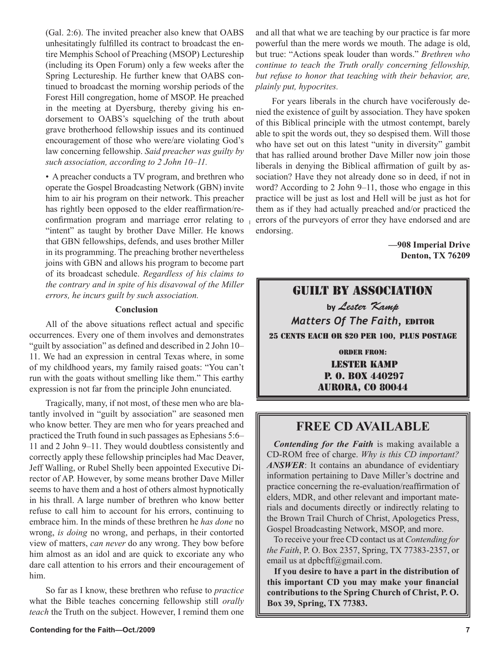(Gal. 2:6). The invited preacher also knew that OABS unhesitatingly fulfilled its contract to broadcast the entire Memphis School of Preaching (MSOP) Lectureship (including its Open Forum) only a few weeks after the Spring Lectureship. He further knew that OABS continued to broadcast the morning worship periods of the Forest Hill congregation, home of MSOP. He preached in the meeting at Dyersburg, thereby giving his endorsement to OABS's squelching of the truth about grave brotherhood fellowship issues and its continued encouragement of those who were/are violating God's law concerning fellowship. *Said preacher was guilty by such association, according to 2 John 10–11.*

• A preacher conducts a TV program, and brethren who operate the Gospel Broadcasting Network (GBN) invite him to air his program on their network. This preacher has rightly been opposed to the elder reaffirmation/reconfirmation program and marriage error relating to "intent" as taught by brother Dave Miller. He knows that GBN fellowships, defends, and uses brother Miller in its programming. The preaching brother nevertheless joins with GBN and allows his program to become part of its broadcast schedule. *Regardless of his claims to the contrary and in spite of his disavowal of the Miller errors, he incurs guilt by such association.*

#### **Conclusion**

All of the above situations reflect actual and specific occurrences. Every one of them involves and demonstrates "guilt by association" as defined and described in 2 John 10– 11. We had an expression in central Texas where, in some of my childhood years, my family raised goats: "You can't run with the goats without smelling like them." This earthy expression is not far from the principle John enunciated.

Tragically, many, if not most, of these men who are blatantly involved in "guilt by association" are seasoned men who know better. They are men who for years preached and practiced the Truth found in such passages as Ephesians 5:6– 11 and 2 John 9–11. They would doubtless consistently and correctly apply these fellowship principles had Mac Deaver, Jeff Walling, or Rubel Shelly been appointed Executive Director of AP. However, by some means brother Dave Miller seems to have them and a host of others almost hypnotically in his thrall. A large number of brethren who know better refuse to call him to account for his errors, continuing to embrace him. In the minds of these brethren he *has done* no wrong, *is doing* no wrong, and perhaps, in their contorted view of matters, *can never* do any wrong. They bow before him almost as an idol and are quick to excoriate any who dare call attention to his errors and their encouragement of him.

So far as I know, these brethren who refuse to *practice*  what the Bible teaches concerning fellowship still *orally teach* the Truth on the subject. However, I remind them one and all that what we are teaching by our practice is far more powerful than the mere words we mouth. The adage is old, but true: "Actions speak louder than words." *Brethren who continue to teach the Truth orally concerning fellowship, but refuse to honor that teaching with their behavior, are, plainly put, hypocrites.*

For years liberals in the church have vociferously denied the existence of guilt by association. They have spoken of this Biblical principle with the utmost contempt, barely able to spit the words out, they so despised them. Will those who have set out on this latest "unity in diversity" gambit that has rallied around brother Dave Miller now join those liberals in denying the Biblical affirmation of guilt by association? Have they not already done so in deed, if not in word? According to 2 John 9–11, those who engage in this practice will be just as lost and Hell will be just as hot for them as if they had actually preached and/or practiced the errors of the purveyors of error they have endorsed and are endorsing.

> **—908 Imperial Drive Denton, TX 76209**

## GUILT BY ASSOCIATION

by Lester Kamp *Matters Of The Faith, EDITOR* 25 CENTS EACH OR \$20 PER 100, PLUS POSTAGE

> **ORDER FROM: LESTER KAMP** P. 0. BOX 440297 **AURORA, CO 80044**

## **FREE CD AVAILABLE**

*Contending for the Faith* is making available a CD-ROM free of charge. *Why is this CD important? ANSWER*: It contains an abundance of evidentiary information pertaining to Dave Miller's doctrine and practice concerning the re-evaluation/reaffirmation of elders, MDR, and other relevant and important materials and documents directly or indirectly relating to the Brown Trail Church of Christ, Apologetics Press, Gospel Broadcasting Network, MSOP, and more.

To receive your free CD contact us at *Contending for the Faith*, P. O. Box 2357, Spring, TX 77383-2357, or email us at dpbcftf@gmail.com.

**If you desire to have a part in the distribution of this important CD you may make your financial contributions to the Spring Church of Christ, P. O. Box 39, Spring, TX 77383.**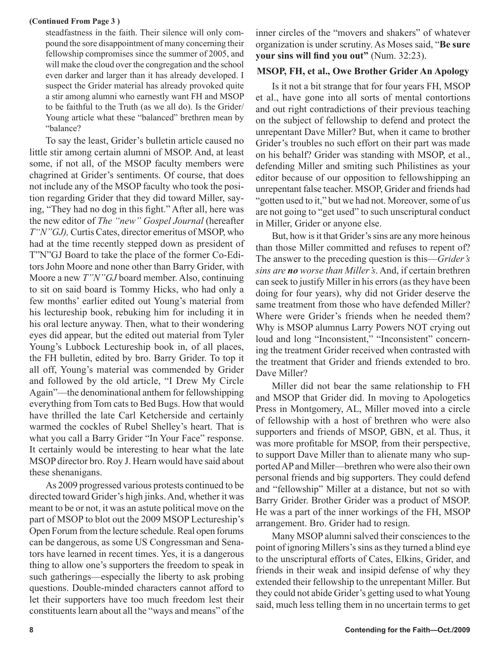#### **(Continued From Page 3 )**

steadfastness in the faith. Their silence will only compound the sore disappointment of many concerning their fellowship compromises since the summer of 2005, and will make the cloud over the congregation and the school even darker and larger than it has already developed. I suspect the Grider material has already provoked quite a stir among alumni who earnestly want FH and MSOP to be faithful to the Truth (as we all do). Is the Grider/ Young article what these "balanced" brethren mean by "balance?

To say the least, Grider's bulletin article caused no little stir among certain alumni of MSOP. And, at least some, if not all, of the MSOP faculty members were chagrined at Grider's sentiments. Of course, that does not include any of the MSOP faculty who took the position regarding Grider that they did toward Miller, saying, "They had no dog in this fight." After all, here was the new editor of *The "new" Gospel Journal* (hereafter *T"N"GJ),* Curtis Cates, director emeritus of MSOP, who had at the time recently stepped down as president of T"N"GJ Board to take the place of the former Co-Editors John Moore and none other than Barry Grider, with Moore a new *T"N"GJ* board member. Also, continuing to sit on said board is Tommy Hicks, who had only a few months' earlier edited out Young's material from his lectureship book, rebuking him for including it in his oral lecture anyway. Then, what to their wondering eyes did appear, but the edited out material from Tyler Young's Lubbock Lectureship book in, of all places, the FH bulletin, edited by bro. Barry Grider. To top it all off, Young's material was commended by Grider and followed by the old article, "I Drew My Circle Again"—the denominational anthem for fellowshipping everything from Tom cats to Bed Bugs. How that would have thrilled the late Carl Ketcherside and certainly warmed the cockles of Rubel Shelley's heart. That is what you call a Barry Grider "In Your Face" response. It certainly would be interesting to hear what the late MSOP director bro. Roy J. Hearn would have said about these shenanigans.

As 2009 progressed various protests continued to be directed toward Grider's high jinks. And, whether it was meant to be or not, it was an astute political move on the part of MSOP to blot out the 2009 MSOP Lectureship's Open Forum from the lecture schedule. Real open forums can be dangerous, as some US Congressman and Senators have learned in recent times. Yes, it is a dangerous thing to allow one's supporters the freedom to speak in such gatherings—especially the liberty to ask probing questions. Double-minded characters cannot afford to let their supporters have too much freedom lest their constituents learn about all the "ways and means" of the

inner circles of the "movers and shakers" of whatever organization is under scrutiny. As Moses said, "**Be sure your sins will find you out"** (Num. 32:23).

#### **MSOP, FH, et al., Owe Brother Grider An Apology**

Is it not a bit strange that for four years FH, MSOP et al., have gone into all sorts of mental contortions and out right contradictions of their previous teaching on the subject of fellowship to defend and protect the unrepentant Dave Miller? But, when it came to brother Grider's troubles no such effort on their part was made on his behalf? Grider was standing with MSOP, et al., defending Miller and smiting such Philistines as your editor because of our opposition to fellowshipping an unrepentant false teacher. MSOP, Grider and friends had "gotten used to it," but we had not. Moreover, some of us are not going to "get used" to such unscriptural conduct in Miller, Grider or anyone else.

But, how is it that Grider's sins are any more heinous than those Miller committed and refuses to repent of? The answer to the preceding question is this—*Grider's sins are no worse than Miller's*. And, if certain brethren can seek to justify Miller in his errors (as they have been doing for four years), why did not Grider deserve the same treatment from those who have defended Miller? Where were Grider's friends when he needed them? Why is MSOP alumnus Larry Powers NOT crying out loud and long "Inconsistent," "Inconsistent" concerning the treatment Grider received when contrasted with the treatment that Grider and friends extended to bro. Dave Miller?

Miller did not bear the same relationship to FH and MSOP that Grider did. In moving to Apologetics Press in Montgomery, AL, Miller moved into a circle of fellowship with a host of brethren who were also supporters and friends of MSOP, GBN, et al. Thus, it was more profitable for MSOP, from their perspective, to support Dave Miller than to alienate many who supported AP and Miller—brethren who were also their own personal friends and big supporters. They could defend and "fellowship" Miller at a distance, but not so with Barry Grider. Brother Grider was a product of MSOP. He was a part of the inner workings of the FH, MSOP arrangement. Bro. Grider had to resign.

Many MSOP alumni salved their consciences to the point of ignoring Millers's sins as they turned a blind eye to the unscriptural efforts of Cates, Elkins, Grider, and friends in their weak and insipid defense of why they extended their fellowship to the unrepentant Miller. But they could not abide Grider's getting used to what Young said, much less telling them in no uncertain terms to get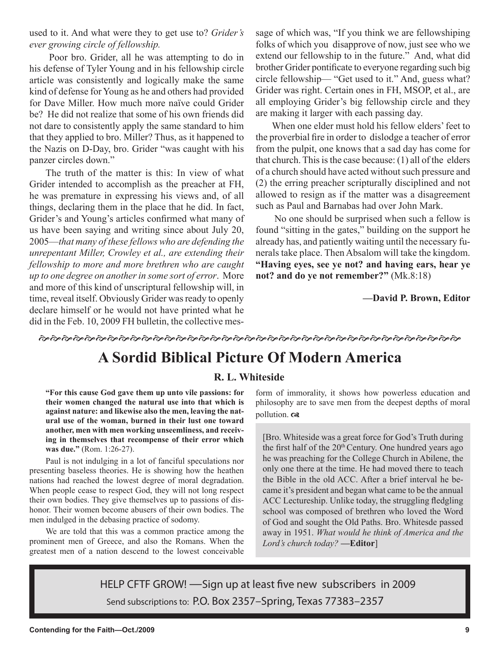used to it. And what were they to get use to? *Grider's ever growing circle of fellowship.*

 Poor bro. Grider, all he was attempting to do in his defense of Tyler Young and in his fellowship circle article was consistently and logically make the same kind of defense for Young as he and others had provided for Dave Miller. How much more naïve could Grider be? He did not realize that some of his own friends did not dare to consistently apply the same standard to him that they applied to bro. Miller? Thus, as it happened to the Nazis on D-Day, bro. Grider "was caught with his panzer circles down."

The truth of the matter is this: In view of what Grider intended to accomplish as the preacher at FH, he was premature in expressing his views and, of all things, declaring them in the place that he did. In fact, Grider's and Young's articles confirmed what many of us have been saying and writing since about July 20, 2005—*that many of these fellows who are defending the unrepentant Miller, Crowley et al., are extending their fellowship to more and more brethren who are caught up to one degree on another in some sort of error*. More and more of this kind of unscriptural fellowship will, in time, reveal itself. Obviously Grider was ready to openly declare himself or he would not have printed what he did in the Feb. 10, 2009 FH bulletin, the collective message of which was, "If you think we are fellowshiping folks of which you disapprove of now, just see who we extend our fellowship to in the future." And, what did brother Grider pontificate to everyone regarding such big circle fellowship— "Get used to it." And, guess what? Grider was right. Certain ones in FH, MSOP, et al., are all employing Grider's big fellowship circle and they are making it larger with each passing day.

When one elder must hold his fellow elders' feet to the proverbial fire in order to dislodge a teacher of error from the pulpit, one knows that a sad day has come for that church. This is the case because: (1) all of the elders of a church should have acted without such pressure and (2) the erring preacher scripturally disciplined and not allowed to resign as if the matter was a disagreement such as Paul and Barnabas had over John Mark.

 No one should be surprised when such a fellow is found "sitting in the gates," building on the support he already has, and patiently waiting until the necessary funerals take place. Then Absalom will take the kingdom. **"Having eyes, see ye not? and having ears, hear ye not? and do ye not remember?"** (Mk.8:18)

**—David P. Brown, Editor**

**やみややややかややかやかいかんかやかややかやかなかなかなかなかやかややややかかや** 

## **A Sordid Biblical Picture Of Modern America**

## **R. L. Whiteside**

**"For this cause God gave them up unto vile passions: for their women changed the natural use into that which is against nature: and likewise also the men, leaving the natural use of the woman, burned in their lust one toward another, men with men working unseemliness, and receiving in themselves that recompense of their error which was due."** (Rom. 1:26-27).

Paul is not indulging in a lot of fanciful speculations nor presenting baseless theories. He is showing how the heathen nations had reached the lowest degree of moral degradation. When people cease to respect God, they will not long respect their own bodies. They give themselves up to passions of dishonor. Their women become abusers of their own bodies. The men indulged in the debasing practice of sodomy.

We are told that this was a common practice among the prominent men of Greece, and also the Romans. When the greatest men of a nation descend to the lowest conceivable

form of immorality, it shows how powerless education and philosophy are to save men from the deepest depths of moral pollution.  $\infty$ 

[Bro. Whiteside was a great force for God's Truth during the first half of the  $20<sup>th</sup>$  Century. One hundred years ago he was preaching for the College Church in Abilene, the only one there at the time. He had moved there to teach the Bible in the old ACC. After a brief interval he became it's president and began what came to be the annual ACC Lectureship. Unlike today, the struggling fledgling school was composed of brethren who loved the Word of God and sought the Old Paths. Bro. Whitesde passed away in 1951. *What would he think of America and the Lord's church today?* **—Editor**]

HELP CFTF GROW! —Sign up at least five new subscribers in 2009 Send subscriptions to: P.O. Box 2357–Spring, Texas 77383–2357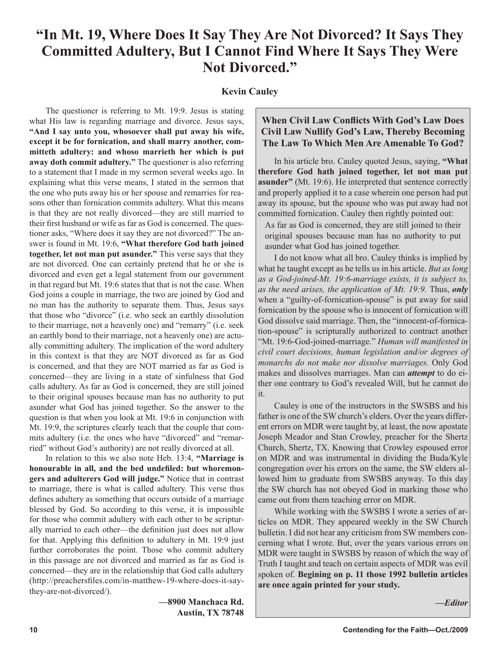## **"In Mt. 19, Where Does It Say They Are Not Divorced? It Says They Committed Adultery, But I Cannot Find Where It Says They Were Not Divorced."**

### **Kevin Cauley**

The questioner is referring to Mt. 19:9. Jesus is stating what His law is regarding marriage and divorce. Jesus says, **"And I say unto you, whosoever shall put away his wife, except it be for fornication, and shall marry another, committeth adultery: and whoso marrieth her which is put away doth commit adultery."** The questioner is also referring to a statement that I made in my sermon several weeks ago. In explaining what this verse means, I stated in the sermon that the one who puts away his or her spouse and remarries for reasons other than fornication commits adultery. What this means is that they are not really divorced—they are still married to their first husband or wife as far as God is concerned. The questioner asks, "Where does it say they are not divorced?" The answer is found in Mt. 19:6, **"What therefore God hath joined together, let not man put asunder."** This verse says that they are not divorced. One can certainly pretend that he or she is divorced and even get a legal statement from our government in that regard but Mt. 19:6 states that that is not the case. When God joins a couple in marriage, the two are joined by God and no man has the authority to separate them. Thus, Jesus says that those who "divorce" (i.e. who seek an earthly dissolution to their marriage, not a heavenly one) and "remarry" (i.e. seek an earthly bond to their marriage, not a heavenly one) are actually committing adultery. The implication of the word adultery in this context is that they are NOT divorced as far as God is concerned, and that they are NOT married as far as God is concerned—they are living in a state of sinfulness that God calls adultery. As far as God is concerned, they are still joined to their original spouses because man has no authority to put asunder what God has joined together. So the answer to the question is that when you look at Mt. 19:6 in conjunction with Mt. 19:9, the scriptures clearly teach that the couple that commits adultery (i.e. the ones who have "divorced" and "remarried" without God's authority) are not really divorced at all.

In relation to this we also note Heb. 13:4, **"Marriage is honourable in all, and the bed undefiled: but whoremongers and adulterers God will judge."** Notice that in contrast to marriage, there is what is called adultery. This verse thus defines adultery as something that occurs outside of a marriage blessed by God. So according to this verse, it is impossible for those who commit adultery with each other to be scripturally married to each other—the definition just does not allow for that. Applying this definition to adultery in Mt. 19:9 just further corroborates the point. Those who commit adultery in this passage are not divorced and married as far as God is concerned—they are in the relationship that God calls adultery (http://preachersfiles.com/in-matthew-19-where-does-it-saythey-are-not-divorced/).

> **—8900 Manchaca Rd. Austin, TX 78748**

## **When Civil Law Conflicts With God's Law Does Civil Law Nullify God's Law, Thereby Becoming The Law To Which Men Are Amenable To God?**

In his article bro. Cauley quoted Jesus, saying, **"What therefore God hath joined together, let not man put asunder"** (Mt. 19:6). He interpreted that sentence correctly and properly applied it to a case wherein one person had put away its spouse, but the spouse who was put away had not committed fornication. Cauley then rightly pointed out:

As far as God is concerned, they are still joined to their original spouses because man has no authority to put asunder what God has joined together.

I do not know what all bro. Cauley thinks is implied by what he taught except as he tells us in his article. *But as long as a God-joined-Mt. 19:6-marriage exists, it is subject to, as the need arises, the application of Mt. 19:9.* Thus, *only* when a "guilty-of-fornication-spouse" is put away for said fornication by the spouse who is innocent of fornication will God dissolve said marriage. Then, the "innocent-of-fornication-spouse" is scripturally authorized to contract another "Mt. 19:6-God-joined-marriage." *Human will manifested in civil court decisions, human legislation and/or degrees of monarchs do not make nor dissolve marriages.* Only God makes and dissolves marriages. Man can *attempt* to do either one contrary to God's revealed Will, but he cannot do it.

Cauley is one of the instructors in the SWSBS and his father is one of the SW church's elders. Over the years different errors on MDR were taught by, at least, the now apostate Joseph Meador and Stan Crowley, preacher for the Shertz Church, Shertz, TX. Knowing that Crowley espoused error on MDR and was instrumental in dividing the Buda/Kyle congregation over his errors on the same, the SW elders allowed him to graduate from SWSBS anyway. To this day the SW church has not obeyed God in marking those who came out from them teaching error on MDR.

While working with the SWSBS I wrote a series of articles on MDR. They appeared weekly in the SW Church bulletin. I did not hear any criticism from SW members concerning what I wrote. But, over the years various errors on MDR were taught in SWSBS by reason of which the way of Truth I taught and teach on certain aspects of MDR was evil spoken of. **Begining on p. 11 those 1992 bulletin articles are once again printed for your study.**

*—Editor*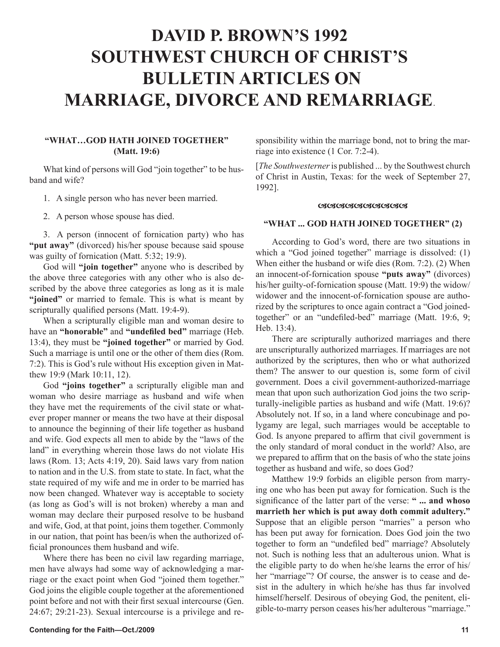# **DAVID P. BROWN'S 1992 SOUTHWEST CHURCH OF CHRIST'S BULLETIN ARTICLES ON MARRIAGE, DIVORCE AND REMARRIAGE**.

#### **"WHAT…GOD HATH JOINED TOGETHER" (Matt. 19:6)**

What kind of persons will God "join together" to be husband and wife?

- 1. A single person who has never been married.
- 2. A person whose spouse has died.

3. A person (innocent of fornication party) who has **"put away"** (divorced) his/her spouse because said spouse was guilty of fornication (Matt. 5:32; 19:9).

God will **"join together"** anyone who is described by the above three categories with any other who is also described by the above three categories as long as it is male "**joined**" or married to female. This is what is meant by scripturally qualified persons (Matt. 19:4-9).

When a scripturally eligible man and woman desire to have an **"honorable"** and **"undefiled bed"** marriage (Heb. 13:4), they must be **"joined together"** or married by God. Such a marriage is until one or the other of them dies (Rom. 7:2). This is God's rule without His exception given in Matthew 19:9 (Mark 10:11, 12).

God **"joins together"** a scripturally eligible man and woman who desire marriage as husband and wife when they have met the requirements of the civil state or whatever proper manner or means the two have at their disposal to announce the beginning of their life together as husband and wife. God expects all men to abide by the "laws of the land" in everything wherein those laws do not violate His laws (Rom. 13; Acts 4:19, 20). Said laws vary from nation to nation and in the U.S. from state to state. In fact, what the state required of my wife and me in order to be married has now been changed. Whatever way is acceptable to society (as long as God's will is not broken) whereby a man and woman may declare their purposed resolve to be husband and wife, God, at that point, joins them together. Commonly in our nation, that point has been/is when the authorized official pronounces them husband and wife.

Where there has been no civil law regarding marriage, men have always had some way of acknowledging a marriage or the exact point when God "joined them together." God joins the eligible couple together at the aforementioned point before and not with their first sexual intercourse (Gen. 24:67; 29:21-23). Sexual intercourse is a privilege and responsibility within the marriage bond, not to bring the marriage into existence (1 Cor. 7:2-4).

[*The Southwesterner* is published ... by the Southwest church of Christ in Austin, Texas: for the week of September 27, 1992].

#### <u>ശശേശേശേശശേശ</u>

#### **"WHAT ... GOD HATH JOINED TOGETHER" (2)**

According to God's word, there are two situations in which a "God joined together" marriage is dissolved: (1) When either the husband or wife dies (Rom. 7:2). (2) When an innocent-of-fornication spouse **"puts away"** (divorces) his/her guilty-of-fornication spouse (Matt. 19:9) the widow/ widower and the innocent-of-fornication spouse are authorized by the scriptures to once again contract a "God joinedtogether" or an "undefiled-bed" marriage (Matt. 19:6, 9; Heb. 13:4).

There are scripturally authorized marriages and there are unscripturally authorized marriages. If marriages are not authorized by the scriptures, then who or what authorized them? The answer to our question is, some form of civil government. Does a civil government-authorized-marriage mean that upon such authorization God joins the two scripturally-ineligible parties as husband and wife (Matt. 19:6)? Absolutely not. If so, in a land where concubinage and polygamy are legal, such marriages would be acceptable to God. Is anyone prepared to affirm that civil government is the only standard of moral conduct in the world? Also, are we prepared to affirm that on the basis of who the state joins together as husband and wife, so does God?

Matthew 19:9 forbids an eligible person from marrying one who has been put away for fornication. Such is the significance of the latter part of the verse: **" ... and whoso marrieth her which is put away doth commit adultery."** Suppose that an eligible person "marries" a person who has been put away for fornication. Does God join the two together to form an "undefiled bed" marriage? Absolutely not. Such is nothing less that an adulterous union. What is the eligible party to do when he/she learns the error of his/ her "marriage"? Of course, the answer is to cease and desist in the adultery in which he/she has thus far involved himself/herself. Desirous of obeying God, the penitent, eligible-to-marry person ceases his/her adulterous "marriage."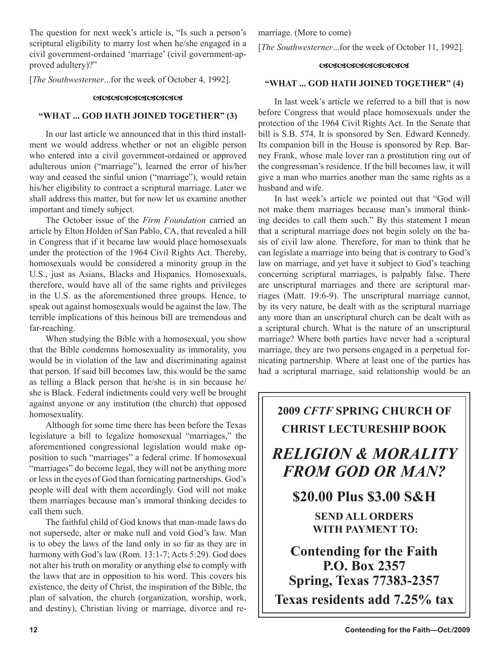The question for next week's article is, "Is such a person's scriptural eligibility to marry lost when he/she engaged in a civil government-ordained 'marriage' (civil government-approved adultery)?"

[*The Southwesterner*...for the week of October 4, 1992].

#### <u>ശശേശശേശശേശശേ</u>

#### **"WHAT ... GOD HATH JOINED TOGETHER" (3)**

In our last article we announced that in this third installment we would address whether or not an eligible person who entered into a civil government-ordained or approved adulterous union ("marriage"), learned the error of his/her way and ceased the sinful union ("marriage"), would retain his/her eligibility to contract a scriptural marriage. Later we shall address this matter, but for now let us examine another important and timely subject.

The October issue of the *Firm Foundation* carried an article by Elton Holden of San Pablo, CA, that revealed a bill in Congress that if it became law would place homosexuals under the protection of the 1964 Civil Rights Act. Thereby, homosexuals would be considered a minority group in the U.S., just as Asians, Blacks and Hispanics. Homosexuals, therefore, would have all of the same rights and privileges in the U.S. as the aforementioned three groups. Hence, to speak out against homosexuals would be against the law. The terrible implications of this heinous bill are tremendous and far-reaching.

When studying the Bible with a homosexual, you show that the Bible condemns homosexuality as immorality, you would be in violation of the law and discriminating against that person. If said bill becomes law, this would be the same as telling a Black person that he/she is in sin because he/ she is Black. Federal indictments could very well be brought against anyone or any institution (the church) that opposed homosexuality.

Although for some time there has been before the Texas legislature a bill to legalize homosexual "marriages," the aforementioned congressional legislation would make opposition to such "marriages" a federal crime. If homosexual "marriages" do become legal, they will not be anything more or less in the eyes of God than fornicating partnerships. God's people will deal with them accordingly. God will not make them marriages because man's immoral thinking decides to call them such.

The faithful child of God knows that man-made laws do not supersede, alter or make null and void God's law. Man is to obey the laws of the land only in so far as they are in harmony with God's law (Rom. 13:1-7; Acts 5:29). God does not alter his truth on morality or anything else to comply with the laws that are in opposition to his word. This covers his existence, the deity of Christ, the inspiration of the Bible, the plan of salvation, the church (organization, worship, work, and destiny), Christian living or marriage, divorce and remarriage. (More to come)

[*The Southwesterner*...for the week of October 11, 1992].

#### <u>ശശേശശേശശേശശ</u>

#### **"WHAT ... GOD HATH JOINED TOGETHER" (4)**

In last week's article we referred to a bill that is now before Congress that would place homosexuals under the protection of the 1964 Civil Rights Act. In the Senate that bill is S.B. 574. It is sponsored by Sen. Edward Kennedy. Its companion bill in the House is sponsored by Rep. Barney Frank, whose male lover ran a prostitution ring out of the congressman's residence. If the bill becomes law, it will give a man who marries another man the same rights as a husband and wife.

In last week's article we pointed out that "God will not make them marriages because man's immoral thinking decides to call them such." By this statement I mean that a scriptural marriage does not begin solely on the basis of civil law alone. Therefore, for man to think that he can legislate a marriage into being that is contrary to God's law on marriage, and yet have it subject to God's teaching concerning scriptural marriages, is palpably false. There are unscriptural marriages and there are scriptural marriages (Matt. 19:6-9). The unscriptural marriage cannot, by its very nature, be dealt with as the scriptural marriage any more than an unscriptural church can be dealt with as a scriptural church. What is the nature of an unscriptural marriage? Where both parties have never had a scriptural marriage, they are two persons engaged in a perpetual fornicating partnership. Where at least one of the parties has had a scriptural marriage, said relationship would be an

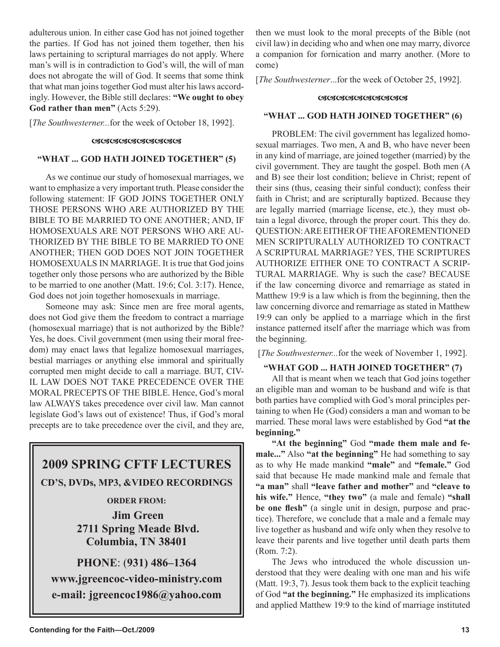adulterous union. In either case God has not joined together the parties. If God has not joined them together, then his laws pertaining to scriptural marriages do not apply. Where man's will is in contradiction to God's will, the will of man does not abrogate the will of God. It seems that some think that what man joins together God must alter his laws accordingly. However, the Bible still declares: **"We ought to obey God rather than men"** (Acts 5:29).

[*The Southwesterner...*for the week of October 18, 1992].

#### **GRAGGAGAGAGAGA**

#### **"WHAT ... GOD HATH JOINED TOGETHER" (5)**

As we continue our study of homosexual marriages, we want to emphasize a very important truth. Please consider the following statement: IF GOD JOINS TOGETHER ONLY THOSE PERSONS WHO ARE AUTHORIZED BY THE BIBLE TO BE MARRIED TO ONE ANOTHER; AND, IF HOMOSEXUALS ARE NOT PERSONS WHO ARE AU-THORIZED BY THE BIBLE TO BE MARRIED TO ONE ANOTHER; THEN GOD DOES NOT JOIN TOGETHER HOMOSEXUALS IN MARRIAGE. It is true that God joins together only those persons who are authorized by the Bible to be married to one another (Matt. 19:6; Col. 3:17). Hence, God does not join together homosexuals in marriage.

Someone may ask: Since men are free moral agents, does not God give them the freedom to contract a marriage (homosexual marriage) that is not authorized by the Bible? Yes, he does. Civil government (men using their moral freedom) may enact laws that legalize homosexual marriages, bestial marriages or anything else immoral and spiritually corrupted men might decide to call a marriage. BUT, CIV-IL LAW DOES NOT TAKE PRECEDENCE OVER THE MORAL PRECEPTS OF THE BIBLE. Hence, God's moral law ALWAYS takes precedence over civil law. Man cannot legislate God's laws out of existence! Thus, if God's moral precepts are to take precedence over the civil, and they are,

## **2009 SPRING CFTF LECTURES CD'S, DVDs, MP3, &VIDEO RECORDINGS ORDER FROM: Jim Green**

 **2711 Spring Meade Blvd. Columbia, TN 38401**

**PHONE**: (**931) 486–1364 www.jgreencoc-video-ministry.com e-mail: jgreencoc1986@yahoo.com**

then we must look to the moral precepts of the Bible (not civil law) in deciding who and when one may marry, divorce a companion for fornication and marry another. (More to come)

[*The Southwesterner*...for the week of October 25, 1992].

#### <u> ೧೫೦೫೦೫೦೫೦೫೦೫೦೫೦೫</u>

#### **"WHAT ... GOD HATH JOINED TOGETHER" (6)**

PROBLEM: The civil government has legalized homosexual marriages. Two men, A and B, who have never been in any kind of marriage, are joined together (married) by the civil government. They are taught the gospel. Both men (A and B) see their lost condition; believe in Christ; repent of their sins (thus, ceasing their sinful conduct); confess their faith in Christ; and are scripturally baptized. Because they are legally married (marriage license, etc.), they must obtain a legal divorce, through the proper court. This they do. QUESTION: ARE EITHER OF THE AFOREMENTIONED MEN SCRIPTURALLY AUTHORIZED TO CONTRACT A SCRIPTURAL MARRIAGE? YES, THE SCRIPTURES AUTHORIZE EITHER ONE TO CONTRACT A SCRIP-TURAL MARRIAGE. Why is such the case? BECAUSE if the law concerning divorce and remarriage as stated in Matthew 19:9 is a law which is from the beginning, then the law concerning divorce and remarriage as stated in Matthew 19:9 can only be applied to a marriage which in the first instance patterned itself after the marriage which was from the beginning.

[*The Southwesterner...*for the week of November 1, 1992].

#### **"WHAT GOD ... HATH JOINED TOGETHER" (7)**

All that is meant when we teach that God joins together an eligible man and woman to be husband and wife is that both parties have complied with God's moral principles pertaining to when He (God) considers a man and woman to be married. These moral laws were established by God **"at the beginning."**

**"At the beginning"** God **"made them male and female..."** Also **"at the beginning"** He had something to say as to why He made mankind **"male"** and **"female."** God said that because He made mankind male and female that **"a man"** shall **"leave father and mother"** and **"cleave to his wife."** Hence, **"they two"** (a male and female) **"shall be one flesh"** (a single unit in design, purpose and practice). Therefore, we conclude that a male and a female may live together as husband and wife only when they resolve to leave their parents and live together until death parts them (Rom. 7:2).

The Jews who introduced the whole discussion understood that they were dealing with one man and his wife (Matt. 19:3, 7). Jesus took them back to the explicit teaching of God **"at the beginning."** He emphasized its implications and applied Matthew 19:9 to the kind of marriage instituted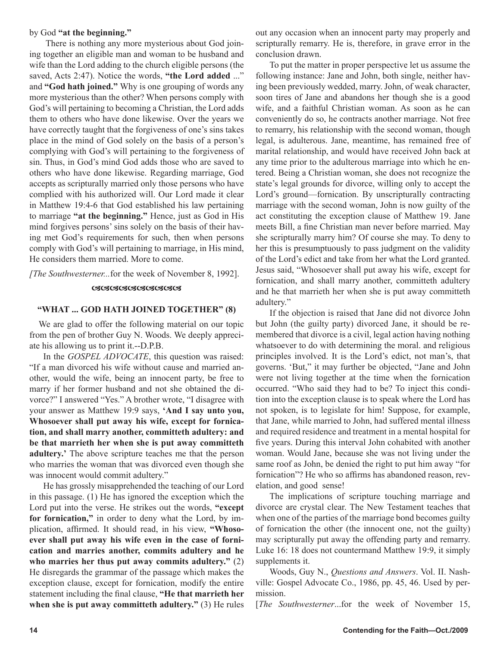#### by God **"at the beginning."**

There is nothing any more mysterious about God joining together an eligible man and woman to be husband and wife than the Lord adding to the church eligible persons (the saved, Acts 2:47). Notice the words, **"the Lord added** ..." and **"God hath joined."** Why is one grouping of words any more mysterious than the other? When persons comply with God's will pertaining to becoming a Christian, the Lord adds them to others who have done likewise. Over the years we have correctly taught that the forgiveness of one's sins takes place in the mind of God solely on the basis of a person's complying with God's will pertaining to the forgiveness of sin. Thus, in God's mind God adds those who are saved to others who have done likewise. Regarding marriage, God accepts as scripturally married only those persons who have complied with his authorized will. Our Lord made it clear in Matthew 19:4-6 that God established his law pertaining to marriage **"at the beginning."** Hence, just as God in His mind forgives persons' sins solely on the basis of their having met God's requirements for such, then when persons comply with God's will pertaining to marriage, in His mind, He considers them married. More to come.

*[The Southwesterner...*for the week of November 8, 1992].

#### **GGGGGGGGGGGGGG**

#### **"WHAT ... GOD HATH JOINED TOGETHER" (8)**

We are glad to offer the following material on our topic from the pen of brother Guy N. Woods. We deeply appreciate his allowing us to print it.--D.P.B.

In the *GOSPEL ADVOCATE*, this question was raised: "If a man divorced his wife without cause and married another, would the wife, being an innocent party, be free to marry if her former husband and not she obtained the divorce?" I answered "Yes." A brother wrote, "I disagree with your answer as Matthew 19:9 says, **'And I say unto you, Whosoever shall put away his wife, except for fornication, and shall marry another, committeth adultery: and be that marrieth her when she is put away committeth adultery.'** The above scripture teaches me that the person who marries the woman that was divorced even though she was innocent would commit adultery."

He has grossly misapprehended the teaching of our Lord in this passage. (1) He has ignored the exception which the Lord put into the verse. He strikes out the words, **"except for fornication,"** in order to deny what the Lord, by implication, affirmed. It should read, in his view, **"Whosoever shall put away his wife even in the case of fornication and marries another, commits adultery and he who marries her thus put away commits adultery."** (2) He disregards the grammar of the passage which makes the exception clause, except for fornication, modify the entire statement including the final clause, **"He that marrieth her when she is put away committeth adultery."** (3) He rules out any occasion when an innocent party may properly and scripturally remarry. He is, therefore, in grave error in the conclusion drawn.

To put the matter in proper perspective let us assume the following instance: Jane and John, both single, neither having been previously wedded, marry. John, of weak character, soon tires of Jane and abandons her though she is a good wife, and a faithful Christian woman. As soon as he can conveniently do so, he contracts another marriage. Not free to remarry, his relationship with the second woman, though legal, is adulterous. Jane, meantime, has remained free of marital relationship, and would have received John back at any time prior to the adulterous marriage into which he entered. Being a Christian woman, she does not recognize the state's legal grounds for divorce, willing only to accept the Lord's ground—fornication. By unscripturally contracting marriage with the second woman, John is now guilty of the act constituting the exception clause of Matthew 19. Jane meets Bill, a fine Christian man never before married. May she scripturally marry him? Of course she may. To deny to her this is presumptuously to pass judgment on the validity of the Lord's edict and take from her what the Lord granted. Jesus said, "Whosoever shall put away his wife, except for fornication, and shall marry another, committeth adultery and he that marrieth her when she is put away committeth adultery."

If the objection is raised that Jane did not divorce John but John (the guilty party) divorced Jane, it should be remembered that divorce is a civil, legal action having nothing whatsoever to do with determining the moral. and religious principles involved. It is the Lord's edict, not man's, that governs. 'But," it may further be objected, "Jane and John were not living together at the time when the fornication occurred. "Who said they had to be? To inject this condition into the exception clause is to speak where the Lord has not spoken, is to legislate for him! Suppose, for example, that Jane, while married to John, had suffered mental illness and required residence and treatment in a mental hospital for five years. During this interval John cohabited with another woman. Would Jane, because she was not living under the same roof as John, be denied the right to put him away "for fornication"? He who so affirms has abandoned reason, revelation, and good sense!

The implications of scripture touching marriage and divorce are crystal clear. The New Testament teaches that when one of the parties of the marriage bond becomes guilty of fornication the other (the innocent one, not the guilty) may scripturally put away the offending party and remarry. Luke 16: 18 does not countermand Matthew 19:9, it simply supplements it.

Woods, Guy N., *Questions and Answers*. Vol. II. Nashville: Gospel Advocate Co., 1986, pp. 45, 46. Used by permission.

[*The Southwesterner*...for the week of November 15,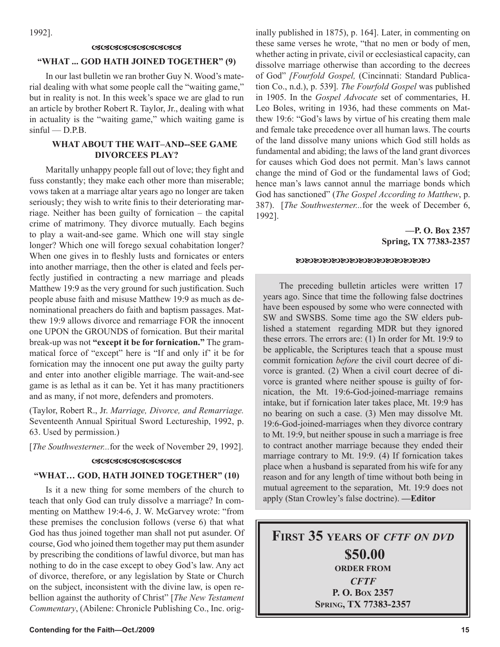1992].

#### <u>ശശേശശേശശേശശേ</u>

#### **"WHAT ... GOD HATH JOINED TOGETHER" (9)**

In our last bulletin we ran brother Guy N. Wood's material dealing with what some people call the "waiting game," but in reality is not. In this week's space we are glad to run an article by brother Robert R. Taylor, Jr., dealing with what in actuality is the "waiting game," which waiting game is  $sinful - D.P.B.$ 

#### **WHAT ABOUT THE WAIT–AND--SEE GAME DIVORCEES PLAY?**

Maritally unhappy people fall out of love; they fight and fuss constantly; they make each other more than miserable; vows taken at a marriage altar years ago no longer are taken seriously; they wish to write finis to their deteriorating marriage. Neither has been guilty of fornication – the capital crime of matrimony. They divorce mutually. Each begins to play a wait-and-see game. Which one will stay single longer? Which one will forego sexual cohabitation longer? When one gives in to fleshly lusts and fornicates or enters into another marriage, then the other is elated and feels perfectly justified in contracting a new marriage and pleads Matthew 19:9 as the very ground for such justification. Such people abuse faith and misuse Matthew 19:9 as much as denominational preachers do faith and baptism passages. Matthew 19:9 allows divorce and remarriage FOR the innocent one UPON the GROUNDS of fornication. But their marital break-up was not **"except it be for fornication."** The grammatical force of "except" here is "If and only if' it be for fornication may the innocent one put away the guilty party and enter into another eligible marriage. The wait-and-see game is as lethal as it can be. Yet it has many practitioners and as many, if not more, defenders and promoters.

(Taylor, Robert R., Jr. *Marriage, Divorce, and Remarriage.* Seventeenth Annual Spiritual Sword Lectureship, 1992, p. 63. Used by permission.)

[*The Southwesterner...*for the week of November 29, 1992].

#### <u>ശശേശേശേശശേശ</u>

#### **"WHAT… GOD, HATH JOINED TOGETHER" (10)**

Is it a new thing for some members of the church to teach that only God can truly dissolve a marriage? In commenting on Matthew 19:4-6, J. W. McGarvey wrote: "from these premises the conclusion follows (verse 6) that what God has thus joined together man shall not put asunder. Of course, God who joined them together may put them asunder by prescribing the conditions of lawful divorce, but man has nothing to do in the case except to obey God's law. Any act of divorce, therefore, or any legislation by State or Church on the subject, inconsistent with the divine law, is open rebellion against the authority of Christ" [*The New Testament Commentary*, (Abilene: Chronicle Publishing Co., Inc. originally published in 1875), p. 164]. Later, in commenting on these same verses he wrote, "that no men or body of men, whether acting in private, civil or ecclesiastical capacity, can dissolve marriage otherwise than according to the decrees of God" *[Fourfold Gospel,* (Cincinnati: Standard Publication Co., n.d.), p. 539]. *The Fourfold Gospel* was published in 1905. In the *Gospel Advocate* set of commentaries, H. Leo Boles, writing in 1936, had these comments on Matthew 19:6: "God's laws by virtue of his creating them male and female take precedence over all human laws. The courts of the land dissolve many unions which God still holds as fundamental and abiding; the laws of the land grant divorces for causes which God does not permit. Man's laws cannot change the mind of God or the fundamental laws of God; hence man's laws cannot annul the marriage bonds which God has sanctioned" (*The Gospel According to Matthew*, p. 387). [*The Southwesterner...*for the week of December 6, 1992].

#### **—P. O. Box 2357 Spring, TX 77383-2357**

#### **MAR RA RA RA RA RA RA RA RA RA RA**

The preceding bulletin articles were written 17 years ago. Since that time the following false doctrines have been espoused by some who were connected with SW and SWSBS. Some time ago the SW elders published a statement regarding MDR but they ignored these errors. The errors are: (1) In order for Mt. 19:9 to be applicable, the Scriptures teach that a spouse must commit fornication *before* the civil court decree of divorce is granted. (2) When a civil court decree of divorce is granted where neither spouse is guilty of fornication, the Mt. 19:6-God-joined-marriage remains intake, but if fornication later takes place, Mt. 19:9 has no bearing on such a case. (3) Men may dissolve Mt. 19:6-God-joined-marriages when they divorce contrary to Mt. 19:9, but neither spouse in such a marriage is free to contract another marriage because they ended their marriage contrary to Mt. 19:9. (4) If fornication takes place when a husband is separated from his wife for any reason and for any length of time without both being in mutual agreement to the separation, Mt. 19:9 does not apply (Stan Crowley's false doctrine). **—Editor**